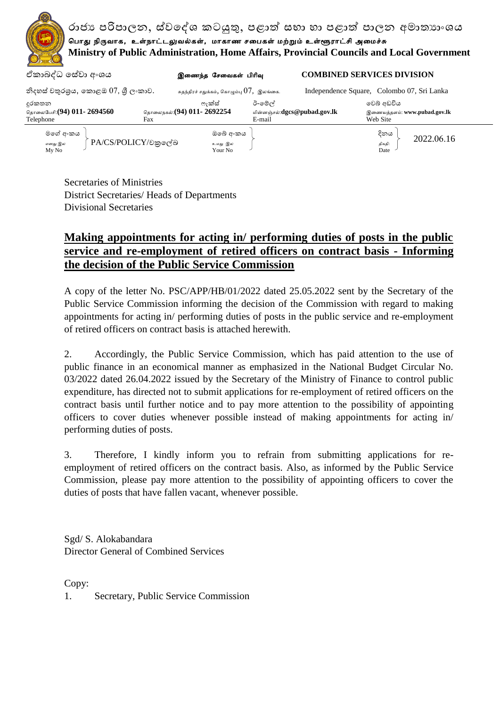

Secretaries of Ministries District Secretaries/ Heads of Departments Divisional Secretaries

## **Making appointments for acting in/ performing duties of posts in the public service and re-employment of retired officers on contract basis - Informing the decision of the Public Service Commission**

A copy of the letter No. PSC/APP/HB/01/2022 dated 25.05.2022 sent by the Secretary of the Public Service Commission informing the decision of the Commission with regard to making appointments for acting in/ performing duties of posts in the public service and re-employment of retired officers on contract basis is attached herewith.

2. Accordingly, the Public Service Commission, which has paid attention to the use of public finance in an economical manner as emphasized in the National Budget Circular No. 03/2022 dated 26.04.2022 issued by the Secretary of the Ministry of Finance to control public expenditure, has directed not to submit applications for re-employment of retired officers on the contract basis until further notice and to pay more attention to the possibility of appointing officers to cover duties whenever possible instead of making appointments for acting in/ performing duties of posts.

3. Therefore, I kindly inform you to refrain from submitting applications for reemployment of retired officers on the contract basis. Also, as informed by the Public Service Commission, please pay more attention to the possibility of appointing officers to cover the duties of posts that have fallen vacant, whenever possible.

Sgd/ S. Alokabandara Director General of Combined Services

Copy:

1. Secretary, Public Service Commission